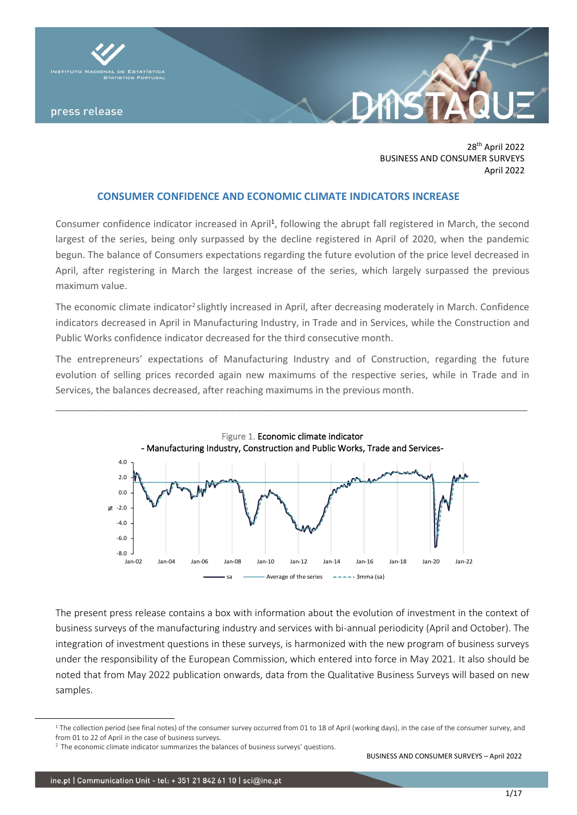

28 th April 2022 BUSINESS AND CONSUMER SURVEYS April 2022

# **CONSUMER CONFIDENCE AND ECONOMIC CLIMATE INDICATORS INCREASE**

Consumer confidence indicator increased in April<sup>1</sup>, following the abrupt fall registered in March, the second largest of the series, being only surpassed by the decline registered in April of 2020, when the pandemic begun. The balance of Consumers expectations regarding the future evolution of the price level decreased in April, after registering in March the largest increase of the series, which largely surpassed the previous maximum value.

The economic climate indicator<sup>2</sup> slightly increased in April, after decreasing moderately in March. Confidence indicators decreased in April in Manufacturing Industry, in Trade and in Services, while the Construction and Public Works confidence indicator decreased for the third consecutive month.

The entrepreneurs' expectations of Manufacturing Industry and of Construction, regarding the future evolution of selling prices recorded again new maximums of the respective series, while in Trade and in Services, the balances decreased, after reaching maximums in the previous month.

\_\_\_\_\_\_\_\_\_\_\_\_\_\_\_\_\_\_\_\_\_\_\_\_\_\_\_\_\_\_\_\_\_\_\_\_\_\_\_\_\_\_\_\_\_\_\_\_\_\_\_\_\_\_\_\_\_\_\_\_\_\_\_\_\_\_\_\_\_\_\_\_\_\_\_\_\_\_\_\_\_\_\_\_\_\_\_\_\_



The present press release contains a box with information about the evolution of investment in the context of business surveys of the manufacturing industry and services with bi-annual periodicity (April and October). The integration of investment questions in these surveys, is harmonized with the new program of business surveys under the responsibility of the European Commission, which entered into force in May 2021. It also should be noted that from May 2022 publication onwards, data from the Qualitative Business Surveys will based on new samples.

 $1$  The collection period (see final notes) of the consumer survey occurred from 01 to 18 of April (working days), in the case of the consumer survey, and from 01 to 22 of April in the case of business surveys.

<sup>&</sup>lt;sup>2</sup> The economic climate indicator summarizes the balances of business surveys' questions.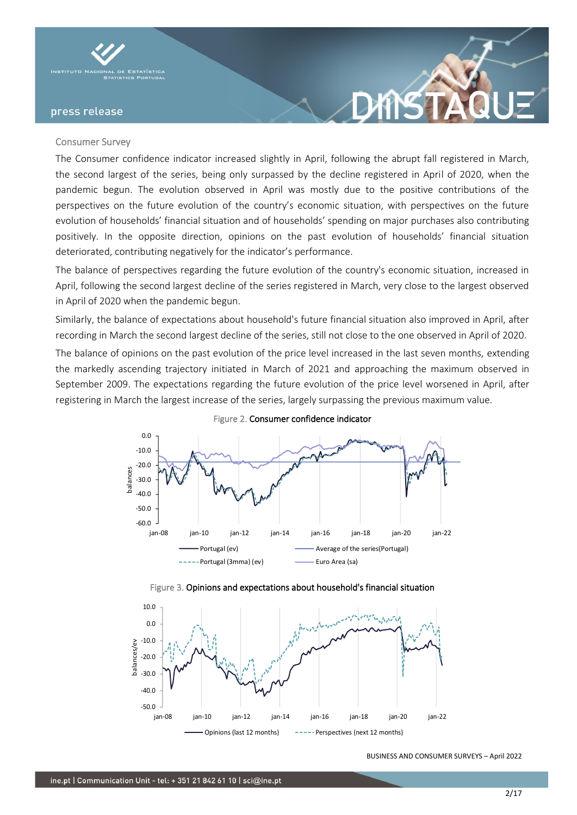

#### Consumer Survey

The Consumer confidence indicator increased slightly in April, following the abrupt fall registered in March, the second largest of the series, being only surpassed by the decline registered in April of 2020, when the pandemic begun. The evolution observed in April was mostly due to the positive contributions of the perspectives on the future evolution of the country's economic situation, with perspectives on the future evolution of households' financial situation and of households' spending on major purchases also contributing positively. In the opposite direction, opinions on the past evolution of households' financial situation deteriorated, contributing negatively for the indicator's performance.

The balance of perspectives regarding the future evolution of the country's economic situation, increased in April, following the second largest decline of the series registered in March, very close to the largest observed in April of 2020 when the pandemic begun.

Similarly, the balance of expectations about household's future financial situation also improved in April, after recording in March the second largest decline of the series, still not close to the one observed in April of 2020.

The balance of opinions on the past evolution of the price level increased in the last seven months, extending the markedly ascending trajectory initiated in March of 2021 and approaching the maximum observed in September 2009. The expectations regarding the future evolution of the price level worsened in April, after registering in March the largest increase of the series, largely surpassing the previous maximum value.



Figure 2. Consumer confidence indicator



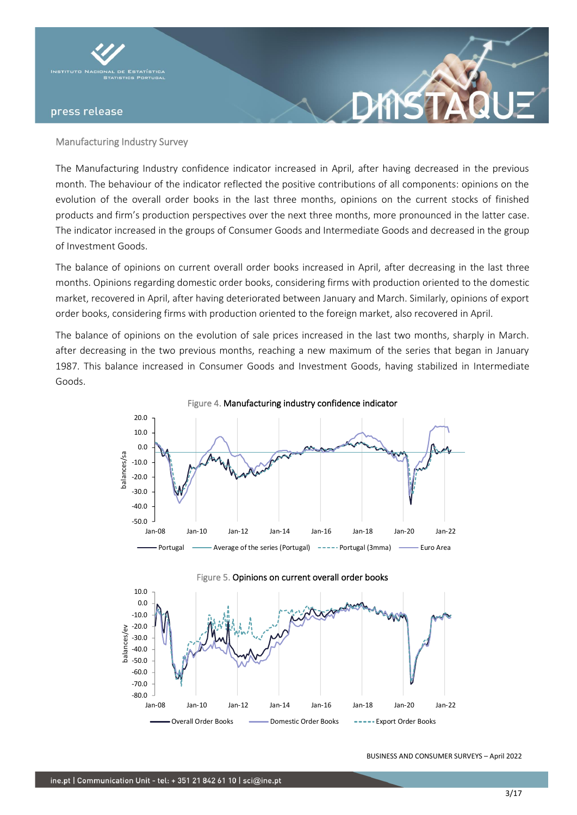

### Manufacturing Industry Survey

The Manufacturing Industry confidence indicator increased in April, after having decreased in the previous month. The behaviour of the indicator reflected the positive contributions of all components: opinions on the evolution of the overall order books in the last three months, opinions on the current stocks of finished products and firm's production perspectives over the next three months, more pronounced in the latter case. The indicator increased in the groups of Consumer Goods and Intermediate Goods and decreased in the group of Investment Goods.

**XTKS** 

The balance of opinions on current overall order books increased in April, after decreasing in the last three months. Opinions regarding domestic order books, considering firms with production oriented to the domestic market, recovered in April, after having deteriorated between January and March. Similarly, opinions of export order books, considering firms with production oriented to the foreign market, also recovered in April.

The balance of opinions on the evolution of sale prices increased in the last two months, sharply in March. after decreasing in the two previous months, reaching a new maximum of the series that began in January 1987. This balance increased in Consumer Goods and Investment Goods, having stabilized in Intermediate Goods.





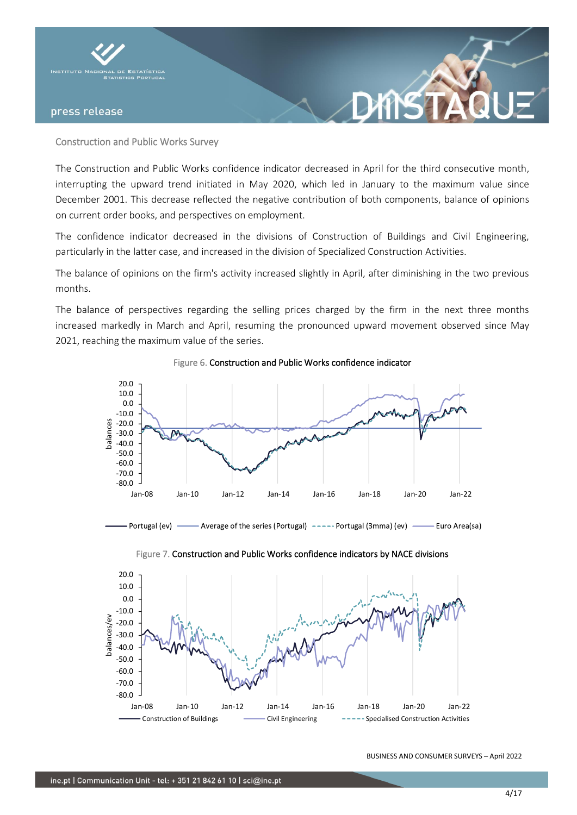

# Construction and Public Works Survey

The Construction and Public Works confidence indicator decreased in April for the third consecutive month, interrupting the upward trend initiated in May 2020, which led in January to the maximum value since December 2001. This decrease reflected the negative contribution of both components, balance of opinions on current order books, and perspectives on employment.

The confidence indicator decreased in the divisions of Construction of Buildings and Civil Engineering, particularly in the latter case, and increased in the division of Specialized Construction Activities.

The balance of opinions on the firm's activity increased slightly in April, after diminishing in the two previous months.

The balance of perspectives regarding the selling prices charged by the firm in the next three months increased markedly in March and April, resuming the pronounced upward movement observed since May 2021, reaching the maximum value of the series.



Figure 6. Construction and Public Works confidence indicator





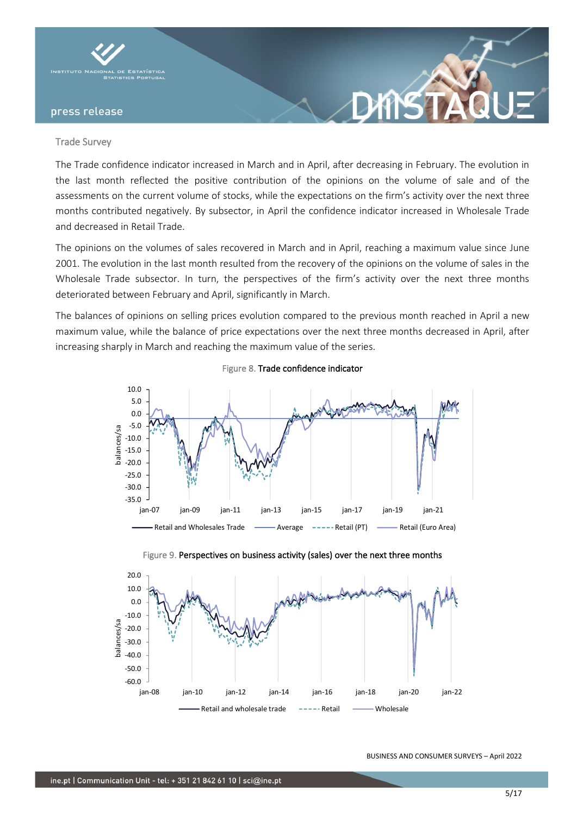

#### Trade Survey

The Trade confidence indicator increased in March and in April, after decreasing in February. The evolution in the last month reflected the positive contribution of the opinions on the volume of sale and of the assessments on the current volume of stocks, while the expectations on the firm's activity over the next three months contributed negatively. By subsector, in April the confidence indicator increased in Wholesale Trade and decreased in Retail Trade.

The opinions on the volumes of sales recovered in March and in April, reaching a maximum value since June 2001. The evolution in the last month resulted from the recovery of the opinions on the volume of sales in the Wholesale Trade subsector. In turn, the perspectives of the firm's activity over the next three months deteriorated between February and April, significantly in March.

The balances of opinions on selling prices evolution compared to the previous month reached in April a new maximum value, while the balance of price expectations over the next three months decreased in April, after increasing sharply in March and reaching the maximum value of the series.





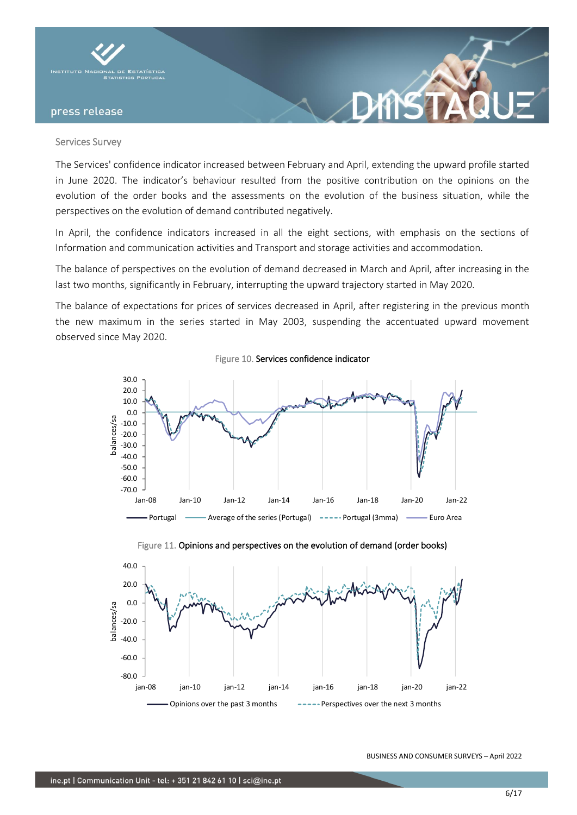

#### Services Survey

The Services' confidence indicator increased between February and April, extending the upward profile started in June 2020. The indicator's behaviour resulted from the positive contribution on the opinions on the evolution of the order books and the assessments on the evolution of the business situation, while the perspectives on the evolution of demand contributed negatively.

In April, the confidence indicators increased in all the eight sections, with emphasis on the sections of Information and communication activities and Transport and storage activities and accommodation.

The balance of perspectives on the evolution of demand decreased in March and April, after increasing in the last two months, significantly in February, interrupting the upward trajectory started in May 2020.

The balance of expectations for prices of services decreased in April, after registering in the previous month the new maximum in the series started in May 2003, suspending the accentuated upward movement observed since May 2020.

Figure 10. Services confidence indicator





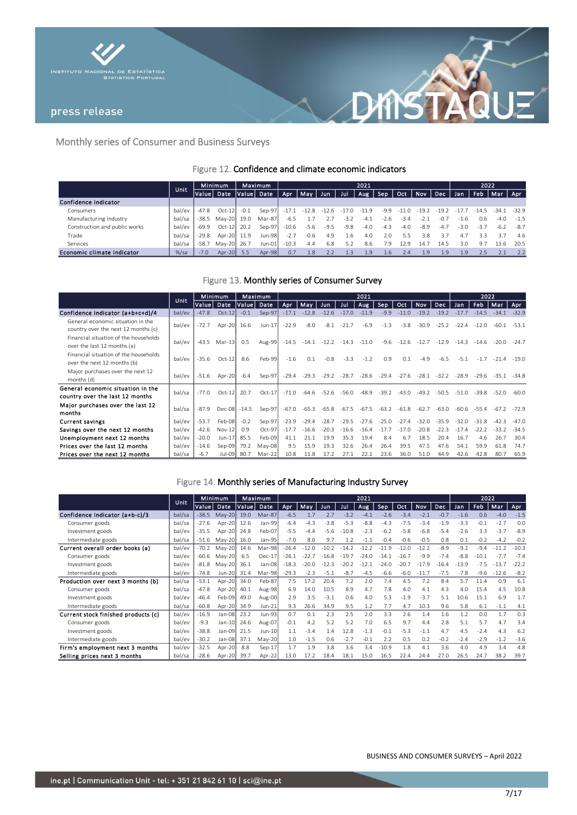



# Monthly series of Consumer and Business Surveys

# Figure 12. Confidence and climate economic indicators

|                               | Unit.   |         | <b>Minimum</b> |            | Maximum |         |         |         |         | 2021    |                |        |            |         |        | 2022    |               |         |
|-------------------------------|---------|---------|----------------|------------|---------|---------|---------|---------|---------|---------|----------------|--------|------------|---------|--------|---------|---------------|---------|
|                               |         | Value   | Date           | Value Date |         | Apr     | May     | Jun.    | Jul     | Aug.    | $\mathsf{Sep}$ | Oct    | <b>Nov</b> | Dec     | Jan    | Feb.    | '  Mar   Apr. |         |
| Confidence indicator          |         |         |                |            |         |         |         |         |         |         |                |        |            |         |        |         |               |         |
| Consumers                     | bal/ev  | -47.8   | $Oct-121$      | $-0.1$     | Sep-97  | $-17.1$ | $-12.8$ | $-12.6$ | $-17.0$ | $-11.9$ | $-9.9$         | -11.0  | $-19.2$    | $-19.2$ |        | $-14.5$ | $-34.1$       | $-32.9$ |
| Manufacturing industry        | bal/sa  | $-38.5$ | May-20 19.0    |            | Mar-87  | $-6.5$  |         |         | $-3.2$  | $-4.1$  | $-2.6$         | $-3.4$ | $-2.1$     |         | $-1.6$ | 0.6     | $-4.0$        | $-1.5$  |
| Construction and public works | bal/ev  | -69.9   | $Oct-12$       | 20.2       | Sep-97  | $-10.6$ | $-5.6$  | $-9.5$  | $-9.8$  | $-4.0$  | $-4.3$         | $-4.0$ | $-8.9$     | $-4.7$  | $-3.0$ | $-3.7$  | -6.2          | $-8.7$  |
| Trade                         | bal/sa  | $-29.8$ | Apr-20 11.9    |            | Jun-98  | $-2.7$  | $-0.6$  | 4.9     | 1.6     | 4.0     | 2.0            | 5.5    | 3.8        | 3.7     | 4.7    | 3.3     |               | 4.6     |
| Services                      | bal/sa  | -58.7   | May-20 26.7    |            | Jun-01  | $-10.3$ | $-4.4$  | 6.8     | 5.2     | 8.6     | 7.9            | 12.9   | 14.1       | 14.5    | 3.0    | 9.7     | 13.6          | 20.5    |
| Economic climate indicator    | $%$ /sa | $-7.0$  | Apr-20 5.5     |            | Apr-98  | 0.7     | 1.8     | 2.2     | 1.3     | 1.9     | 1.6            | 2.4    | 1.9        | 1.9     | 1.9    | 2.5     |               | 2.2     |

#### Figure 13. Monthly series of Consumer Survey

|                                                                          |        | Minimum<br>Unit |          |            | Maximum  |         |         |            |         | 2021    |         |         |         |         |         | 2022    |         |         |
|--------------------------------------------------------------------------|--------|-----------------|----------|------------|----------|---------|---------|------------|---------|---------|---------|---------|---------|---------|---------|---------|---------|---------|
|                                                                          |        | Value           | Date     | Value Date |          | Apr     | May     | <b>Jun</b> | Jul.    | Aug     | Sep     | Oct     | Nov     | Dec     | Jan     | Feb     | Mar     | Apr     |
| Confidence indicator (a+b+c+d)/4                                         | bal/ev | $-47.8$         | $Oct-12$ | $-0.1$     | Sep-97   | $-17.1$ | $-12.8$ | $-12.6$    | $-17.0$ | $-11.9$ | $-9.9$  | $-11.0$ | $-19.2$ | $-19.2$ | $-17.7$ | $-14.5$ | $-34.1$ | $-32.9$ |
| General economic situation in the<br>country over the next 12 months (c) | bal/ev | $-72.7$         | Apr-20   | 16.6       | $Jun-17$ | $-22.9$ | $-8.0$  | $-8.1$     | $-21.7$ | $-6.9$  | $-1.3$  | $-3.8$  | $-30.9$ | $-25.2$ | $-22.4$ | $-12.0$ | -60.1   | $-53.1$ |
| Financial situation of the households<br>over the last 12 months (a)     | bal/ev | $-43.5$         | Mar-13   | 0.5        | Aug-99   | $-14.5$ | $-14.1$ | $-12.2$    | $-14.3$ | $-11.0$ | $-9.6$  | $-12.6$ | $-12.7$ | $-12.9$ | $-14.3$ | $-14.6$ | $-20.0$ | $-24.7$ |
| Financial situation of the households<br>over the next 12 months (b)     | bal/ev | $-35.6$         | $Oct-12$ | 8.6        | Feb-99   | $-1.6$  | 0.1     | $-0.8$     | $-3.3$  | $-1.2$  | 0.9     | 0.1     | $-4.9$  | $-6.5$  | $-5.1$  | $-1.7$  | $-21.4$ | $-19.0$ |
| Major purchases over the next 12<br>months (d)                           | bal/ev | $-51.6$         | Apr-20   | $-6.4$     | Sep-97   | $-29.4$ | $-29.3$ | $-29.2$    | $-28.7$ | $-28.6$ | -29.4   | $-27.6$ | $-28.1$ | $-32.2$ | $-28.9$ | $-29.6$ | -35.1   | $-34.8$ |
| General economic situation in the<br>country over the last 12 months     | bal/sa | $-77.0$         | $Oct-12$ | 20.7       | $Oct-17$ | $-71.0$ | $-64.6$ | $-52.6$    | $-56.0$ | $-48.9$ | $-39.2$ | $-43.0$ | $-49.2$ | $-50.5$ | $-51.0$ | $-39.8$ | $-52.0$ | $-60.0$ |
| Major purchases over the last 12<br>months                               | bal/sa | $-87.9$         | Dec-08   | $-14.5$    | Sep-97   | $-67.0$ | $-65.3$ | $-65.8$    | $-67.5$ | $-67.5$ | $-63.2$ | $-61.8$ | $-62.7$ | $-63.0$ | $-60.6$ | $-55.4$ | $-67.2$ | $-72.9$ |
| <b>Current savings</b>                                                   | bal/ev | $-53.7$         | Feb-08   | $-0.2$     | Sep-97   | $-23.9$ | $-29.4$ | $-28.7$    | $-29.5$ | $-27.6$ | $-25.0$ | $-27.4$ | $-32.0$ | $-35.9$ | $-32.0$ | $-31.8$ | $-42.3$ | $-47.0$ |
| Savings over the next 12 months                                          | bal/ev | $-42.6$         | $Nov-12$ | 0.9        | $Oct-97$ | $-17.7$ | $-16.6$ | $-20.3$    | $-16.6$ | $-16.4$ | $-177$  | $-170$  | $-20.8$ | $-22.3$ | $-17.4$ | $-22.2$ | $-33.2$ | $-34.5$ |
| Unemployment next 12 months                                              | bal/ev | $-20.0$         | $Jun-17$ | 85.5       | Feb-09   | 41.1    | 21.1    | 19.9       | 35.3    | 19.4    | 8.4     | 6.7     | 18.5    | 20.4    | 16.7    | 4.6     | 26.7    | 30.4    |
| Prices over the last 12 months                                           | bal/ev | $-14.6$         | Sep-09   | 79.2       | May-08   | 9.5     | 15.9    | 19.3       | 32.6    | 26.4    | 26.4    | 39.5    | 47.5    | 47.6    | 54.1    | 59.9    | 61.8    | 74.7    |
| Prices over the next 12 months                                           | bal/sa | $-6.7$          | Jul-09   | 80.7       | Mar-22   | 10.8    | 11.8    |            | 27.1    | 22.1    | 23.6    | 36.0    | 51.0    | 44.9    | 42.6    | 42.8    | 80.7    | 65.9    |

# Figure 14. Monthly series of Manufacturing Industry Survey

|                                     |        | <b>Minimum</b><br><b>Unit</b> |          | Maximum |          |         |         |         | 2021    |         |         |         |            |            | 2022    |         |         |         |
|-------------------------------------|--------|-------------------------------|----------|---------|----------|---------|---------|---------|---------|---------|---------|---------|------------|------------|---------|---------|---------|---------|
|                                     |        | Value                         | Date     | Value   | Date     | Apr.    | May     | Jun     | Jul     | Aug     | Sep     | Oct     | <b>Nov</b> | <b>Dec</b> | Jan     | Feb     | Mar     | Apr     |
| Confidence Indicator (a+b-c)/3      | bal/sa | $-38.5$                       | $May-20$ | 19.0    | Mar-87   | $-6.5$  | 1.7     | 2.7     | $-3.2$  | $-4.1$  | $-2.6$  | $-3.4$  | $-2.1$     | $-0.7$     | $-1.6$  | 0.6     | $-4.0$  | $-1.5$  |
| Consumer goods                      | bal/sa | $-27.6$                       | Apr-20   | 12.6    | Jan-99   | $-6.4$  | $-4.3$  | $-3.8$  | $-5.3$  | $-8.8$  | $-4.3$  | $-7.5$  | $-3.4$     | $-1.9$     | $-3.3$  | $-0.1$  | $-2.7$  | 0.0     |
| Investment goods                    | bal/ev | $-35.5$                       | Apr-20   | 24.8    | Feb-07   | $-5.5$  | $-4.4$  | $-5.6$  | $-10.8$ | $-2.3$  | $-6.2$  | $-5.8$  | $-6.8$     | $-5.4$     | $-2.6$  | 3.3     | $-3.7$  | $-8.9$  |
| Intermediate goods                  | bal/sa | $-51.6$                       | $May-20$ | 16.0    | Jan-95   | $-7.0$  | 8.6     | 9.7     | 1.2     | $-1.1$  | $-0.4$  | $-0.6$  | $-0.5$     | 0.8        | 0.1     | $-0.2$  | $-4.2$  | $-0.2$  |
| Current overall order books (a)     | bal/ev | $-70.2$                       | May-20   | 14.6    | Mar-98   | $-26.4$ | $-12.0$ | $-10.2$ | $-14.2$ | $-12.2$ | $-11.9$ | $-12.0$ | $-12.2$    | $-8.9$     | $-9.2$  | $-9.4$  | $-11.2$ | $-10.3$ |
| Consumer goods                      | bal/ev | $-60.6$                       | May-20   | 6.5     | $Dec-17$ | $-26.1$ | $-22.7$ | $-16.8$ | $-19.7$ | $-24$   | $-14.1$ | $-16.7$ | $-9.9$     | $-7.4$     | $-8.8$  | $-10.1$ | $-7.7$  | $-7.4$  |
| Investment goods                    | bal/ev | $-81.8$                       | $May-20$ | 36.1    | Jan-08   | $-18.3$ | $-20.0$ | $-12.3$ | $-20.2$ | $-12$   | $-24.0$ | $-20.$  | $-17.9$    | $-16.4$    | $-13.9$ | $-7.5$  | $-13.7$ | $-22.2$ |
| Intermediate goods                  | bal/ev | $-74.8$                       | Jun-20   | 31.4    | Mar-98   | $-29.3$ | $-2.3$  | $-5.1$  | $-8.7$  | $-4.5$  | $-6.6$  | $-6.0$  | $-11.7$    | $-7.5$     | $-7.8$  | $-9.6$  | $-12.6$ | $-8.2$  |
| Production over next 3 months (b)   | bal/sa | $-53.1$                       | Apr-20   | 34.0    | Feb-87   | 7.5     | 17.2    | 20.4    | 7.2     | 2.0     | 7.4     | 4.5     | 7.2        | 8.4        | 5.7     | 11.4    | 0.9     | 6.1     |
| Consumer goods                      | bal/sa | $-47.8$                       | Apr-20   | 40.1    | Aug-98   | 6.9     | 14.0    | 10.5    | 8.9     | 4.7     | 7.8     | 4.0     | 4.1        | 4.3        | 4.0     | 15.4    | 4.5     | 10.8    |
| Investment goods                    | bal/ev | $-46.4$                       | Feb-09   | 49.0    | Aug-00   | 2.9     | 3.5     | $-3.1$  | 0.6     | 4.0     | 5.3     | $-1.9$  | $-3.7$     | 5.1        | 10.6    | 15.1    | 6.9     | 1.7     |
| Intermediate goods                  | bal/sa | $-60.8$                       | Apr-20   | 34.9    | Jun-21   | 9.3     | 26.6    | 34.9    | 9.5     | 1.2     | 7.7     | 4.7     | 10.3       | 9.6        | 5.8     | 6.1     | $-1.1$  | 4.1     |
| Current stock finished products (c) | bal/ev | $-16.9$                       | $Jan-08$ | 23.2    | Jun-93   | 0.7     | 0.1     | 2.3     | 2.5     | 2.0     | 3.3     | 2.6     | 1.4        | 1.6        | 1.2     | 0.0     | 1.7     | 0.3     |
| Consumer goods                      | bal/ev | $-9.3$                        | $Jan-10$ | 24.6    | Aug-07   | $-0.1$  | 4.2     | 5.2     | 5.2     | 7.0     | 6.5     | 9.7     | 4.4        | 2.8        | 5.1     | 5.7     | 4.7     | 3.4     |
| Investment goods                    | bal/ev | $-38.8$                       | Jan-09   | 21.5    | Jun-10   | 1.1     | $-3.4$  | 1.4     | 12.8    | $-1.3$  | $-0.1$  | $-5.3$  | $-1.1$     | 4.7        | 4.5     | $-2.4$  | 4.3     | 6.2     |
| Intermediate goods                  | bal/ev | $-30.2$                       | Jan-08   | 37.1    | $May-20$ | 1.0     | $-1.5$  | 0.6     | $-2.7$  | $-0.1$  | 2.2     | 0.5     | 0.2        | $-0.2$     | $-2.4$  | $-2.9$  | $-1.2$  | $-3.6$  |
| Firm's employment next 3 months     | bal/ev | $-32.5$                       | Apr-20   | 8.8     | $Sep-17$ | 1.7     | 1.9     | 3.8     | 3.6     | 3.4     | $-10.9$ | 1.8     | 4.1        | 3.6        | 4.0     | 4.9     | 3.4     | 4.8     |
| Selling prices next 3 months        | bal/sa | $-28.6$                       | Apr-20   | 39.7    | Apr-22   | 13.0    | 17.2    | 18.4    | 18.1    | 15.0    | 16.5    | 22.4    | 24.4       | 27.0       | 26.5    | 24.7    | 38.2    | 39.7    |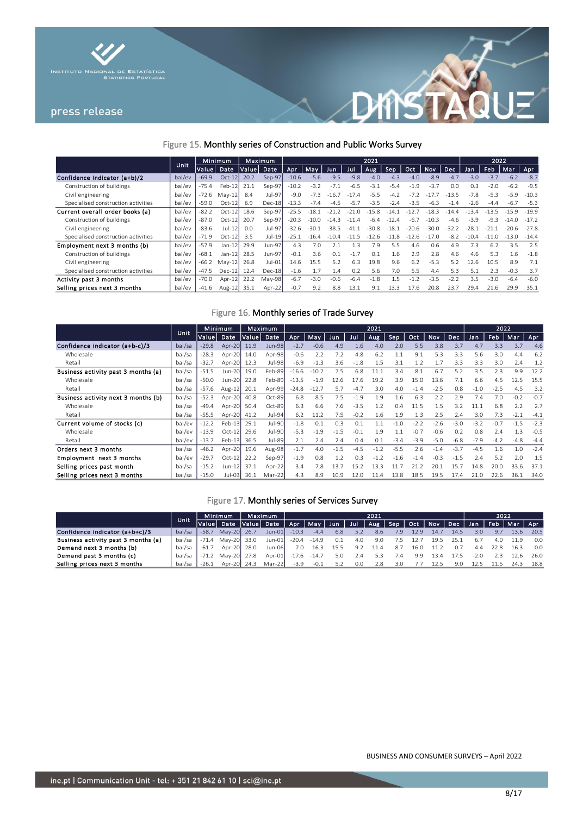



# Figure 15. Monthly series of Construction and Public Works Survey

|                                     |        | Minimum<br>Unit |            |            | Maximum  |         |         |         |         | 2021    |         |         |            |            |         | 2022    |         |         |
|-------------------------------------|--------|-----------------|------------|------------|----------|---------|---------|---------|---------|---------|---------|---------|------------|------------|---------|---------|---------|---------|
|                                     |        | Valuel          | Date       | Value Date |          | Apr     | May     | Jun     | Jul     | Aug.    | Sep     | Oct     | <b>Nov</b> | <b>Dec</b> | Jan     | Feb     | Mar     | Apr     |
| Confidence Indicator (a+b)/2        | bal/ev | $-69.9$         | $Oct-12$   | 20.2       | Sep-97   | $-10.6$ | $-5.6$  | $-9.5$  | $-9.8$  | $-4.0$  | $-4.3$  | $-4.0$  | $-8.9$     | $-4.7$     | $-3.0$  | $-3.7$  | $-6.2$  | $-8.7$  |
| Construction of buildings           | bal/ev | $-75.4$         | $Feb-12$   | 21.1       | Sep-97   | $-10.2$ | $-3.2$  | $-7.1$  | $-6.5$  | $-3.1$  | $-5.4$  | $-1.9$  | $-3.7$     | 0.0        | 0.3     | $-2.0$  | $-6.2$  | $-9.5$  |
| Civil engineering                   | bal/ev | $-72.6$         | Mav-12     | 8.4        | Jul-97   | $-9.0$  | $-7.3$  | $-16.7$ | $-17.4$ | $-5.5$  | $-4.2$  | $-7.2$  | $-177$     | $-13.5$    | $-7.8$  | $-5.3$  | $-5.9$  | $-10.3$ |
| Specialised construction activities | bal/ev | $-59.0$         | $Oct-12$   | 6.9        | $Dec-18$ | $-13.3$ | $-7.4$  | $-4.5$  | $-5.7$  | $-3.5$  | $-2.4$  | $-3.5$  | $-6.3$     | $-14$      | $-2.6$  | $-4.4$  | $-6.7$  | $-5.3$  |
| Current overall order books (a)     | bal/ev | $-82.2$         | Oct-12     | 18.6       | Sep-97   | $-25.5$ | $-18.1$ |         | $-21.0$ | $-15.8$ | $-14.1$ | $-127$  | $-18.3$    | $-144$     | $-13.4$ | $-135$  | $-15.9$ | $-19.9$ |
| Construction of buildings           | bal/ev | $-87.0$         | $Oct-12$   | 20.7       | Sep-97   | $-20.3$ | $-10.0$ | $-14.3$ | $-114$  | $-6.4$  | $-12.4$ | $-6.7$  | $-10.3$    | $-4.6$     | $-3.9$  | $-9.3$  | $-14.0$ | $-17.2$ |
| Civil engineering                   | bal/ev | $-83.6$         | $Jul-12$   | 0.0        | Jul-97   | $-32.6$ | $-30.1$ | $-38.5$ | $-41.1$ | $-30.8$ | $-18.1$ | $-20.6$ | $-30.0$    | $-32.2$    | $-28.1$ | $-21.1$ | $-20.6$ | $-27.8$ |
| Specialised construction activities | bal/ev | $-71.9$         | $Oct-12$   | 3.5        | Jul-19   | $-25.1$ | $-16.4$ | $-10.4$ | $-11.5$ | $-12.6$ | $-11.8$ | $-12.6$ | $-17.0$    | $-82$      |         | $-11.0$ | $-13.0$ | $-14.4$ |
| Employment next 3 months (b)        | bal/ev | $-57.9$         | $Jan-12$   | 29.9       | Jun-97   | 4.3     | 7.0     | 2.1     | 1.3     | 7.9     | 5.5     | 4.6     | 0.6        | 4.9        | 7.3     | 6.2     | 3.5     | 2.5     |
| Construction of buildings           | bal/ev | $-68.1$         | Jan-12     | 28.5       | Jun-97   | $-0.1$  | 3.6     | 0.1     | $-1.7$  | 0.1     | 1.6     | 2.9     | 2.8        | 4.6        | 4.6     | 5.3     | 1.6     | $-1.8$  |
| Civil engineering                   | bal/ev | $-66.2$         | $May-12$   | 26.8       | $Jul-01$ | 14.6    | 15.5    | 5.2     | 6.3     | 19.8    | 9.6     | 6.2     | $-5.3$     | 5.2        | 12.6    | 10.5    | 8.9     | 7.1     |
| Specialised construction activities | bal/ev | $-47.5$         | Dec-12     | 12.4       | $Dec-18$ | $-1.6$  | 1.7     | 1.4     | 0.2     | 5.6     | 7.0     | 5.5     | 4.4        | 5.3        | 5.1     | 2.3     | $-0.3$  | 3.7     |
| Activity past 3 months              | bal/ev | $-70.0$         | Apr- $121$ | 22.2       | May-98   | $-6.7$  | $-3.0$  | $-0.6$  | $-6.4$  | $-1.8$  | 1.5     |         | $-3.5$     | $-2.2$     | 3.5     | $-3.0$  | $-6.4$  | $-6.0$  |
| Selling prices next 3 months        | bal/ev | $-41.6$         | Aug-12     | 35.1       | Apr-22   | $-0.7$  | 9.2     | 8.8     | 13.1    | 9.1     | 13.3    | 17.6    | 20.8       | 23.7       | 29.4    | 21.6    | 29.9    | 35.1    |

## Figure 16. Monthly series of Trade Survey

|                                     | Unit   |         | Minimum               |            | Maximum       |         |         |        |        | 2021   |        |        |            |            |        | 2022   |        |        |
|-------------------------------------|--------|---------|-----------------------|------------|---------------|---------|---------|--------|--------|--------|--------|--------|------------|------------|--------|--------|--------|--------|
|                                     |        | Valuel  | Date,                 | Value Date |               | Apr     | May     | Jun    | Jul    | Aug    | Sep    | Oct    | <b>Nov</b> | <b>Dec</b> | Jan.   | Feb    | Mar    | Apr    |
| Confidence indicator (a+b-c)/3      | bal/sa | $-29.8$ | Apr-20                | 11.9       | <b>Jun-98</b> | $-2.7$  | $-0.6$  | 4.9    | 1.6    | 4.0    | 2.0    | 5.5    | 3.8        | 3.7        | 4.7    | 3.3    | 3.7    | 4.6    |
| Wholesale                           | bal/sa | $-28.3$ | Apr-20                | 14.0       | Apr-98        | $-0.6$  | 2.2     | 7.2    | 4.8    | 6.2    |        | 9.1    | 5.3        | 3.3        | 5.6    | 3.0    | 4.4    | 6.2    |
| Retail                              | bal/sa | $-32.7$ | Apr-20                | 12.3       | Jul-98        | $-6.9$  | $-1.3$  | 3.6    | $-1.8$ | 1.5    | 3.1    | 1.2    | 1.7        | 3.3        | 3.3    | 3.0    | 2.4    | 1.2    |
| Business activity past 3 months (a) | bal/sa | $-51.5$ | Jun-20                | 19.0       | Feb-89        | $-16.6$ | $-10.2$ | 7.5    | 6.8    | 11.1   | 3.4    | 8.1    | 6.7        | 5.2        | 3.5    | 2.3    | 9.9    | 12.2   |
| Wholesale                           | bal/sa | $-50.0$ | Jun-20                | 22.8       | Feb-89        | $-13.5$ | $-1.9$  | 12.6   | 17.6   | 19.2   | 3.9    | 15.0   | 13.6       | 7.1        | 6.6    | 4.5    | 12.5   | 15.5   |
| Retail                              | bal/sa | $-57.6$ | Aug-1.                | 20.1       | Apr-99        | $-24.8$ | $-12.7$ | 5.7    | $-4.7$ | 3.0    | 4.0    | $-1.4$ | $-2.5$     | 0.8        | $-1.0$ | $-2.5$ | 4.5    | 3.2    |
| Business activity next 3 months (b) | bal/sa | $-52.3$ | Apr-20                | 40.8       | Oct-89        | 6.8     | 8.5     | 7.5    | $-1.9$ | 1.9    | 1.6    | 6.3    | 2.2        | 2.9        | 7.4    | 7.0    | $-0.2$ | $-0.7$ |
| Wholesale                           | bal/sa | $-49.4$ | Apr-20 $\blacksquare$ | 50.4       | $Oct-89$      | 6.3     | 6.6     | 7.6    | $-3.5$ | 1.2    | 0.4    | 11.5   | 1.5        | 3.2        | 11.1   | 6.8    |        | 2.7    |
| Retail                              | bal/sa | $-55.5$ | Apr-20                | 41.2       | Jul-94        | 6.2     | 11.2    | 7.5    | $-0.2$ | 1.6    | 1.9    | 1.3    | 2.5        | 2.4        | 3.0    | 7.3    | $-2.1$ | $-4.1$ |
| Current volume of stocks (c)        | bal/ev | $-12.2$ | $Feb-13$              | 29.1       | Jul-90        | $-1.8$  | 0.1     | 0.3    | 0.1    | 1.1    | $-1.0$ | $-2.2$ | $-2.6$     | $-3.0$     | $-3.2$ | $-0.7$ | $-1.5$ | $-2.3$ |
| Wholesale                           | bal/ev | $-13.9$ | $Oct-12$              | 29.6       | Jul-90        | $-5.3$  | $-1.9$  | $-1.5$ | $-0.1$ | 1.9    | 1.1    | $-0.7$ | $-0.6$     | 0.2        | 0.8    | 2.4    | 1.3    | $-0.5$ |
| Retail                              | bal/ev | $-13.7$ | $Feb-13$              | 36.5       | Jul-89        | 2.1     | 2.4     | 2.4    | 0.4    | 0.1    | $-3.4$ | $-3.9$ | $-5.0$     | $-6.8$     | $-7.9$ | $-4.2$ | $-4.8$ | $-4.4$ |
| Orders next 3 months                | bal/sa | $-46.2$ | Apr-20                | 19.6       | Aug-98        | $-1.7$  | 4.0     | $-1.5$ | $-4.5$ | $-1.2$ | $-5.5$ | 2.6    | $-1.4$     | $-3.7$     | $-4.5$ | 1.6    | 1.0    | $-2.4$ |
| Employment next 3 months            | bal/ev | $-29.7$ | $Oct-12$              | 22.2       | Sep-97        | $-1.9$  | 0.8     | 1.2    | 0.3    | $-1.2$ | $-1.6$ | $-14$  | $-0.3$     | $-1.5$     | 2.4    | 5.2    | 2.0    | 1.5    |
| Selling prices past month           | bal/sa | $-15.2$ | Jun-12                | 37.1       | Apr-22        | 3.4     | 7.8     | 13.7   | 15.2   | 13.3   |        |        | 20.1       | 15.7       | 14.8   | 20.0   | 33.6   | 37.1   |
| Selling prices next 3 months        | bal/sa | $-15.0$ | Jul-03                | 36.1       | Mar-22        | 4.3     | 8.9     | 10.9   | 12.0   | 11.4   | 13.8   | 18.5   | 19.5       | 17.4       | 21.0   | 22.6   | 36.1   | 34.0   |

## Figure 17. Monthly series of Services Survey

|                                     |        | Minimum<br>Unit |             |       | Maximum    |         |         |     |     | 2021 |            |      |       |                         |        | 2022 |      |      |
|-------------------------------------|--------|-----------------|-------------|-------|------------|---------|---------|-----|-----|------|------------|------|-------|-------------------------|--------|------|------|------|
|                                     |        | Value           | Date        |       | Value Date | Apr     | May Jun |     | Jul |      |            |      |       | Aug Sep Oct Nov Dec Jan |        | Feb  | Mar  | Apr  |
| Confidence indicator (a+b+c)/3      | bal/sa | $-58.7$         | May-20 26.7 |       | $Jun-01$   | $-10.3$ | $-4.4$  | 6.8 | 5.2 | 8.6  | 7.9        | 12.9 | 14.7  | 14.5                    | 3.C    | 9.7  | 13.6 | 20.5 |
| Business activity past 3 months (a) | bal/sa | $-71.4$         | Mav-20 33.0 |       | $Jun-01$   | $-20.4$ | $-14.9$ | 0.1 | 4.C | 9.0  | $\sqrt{2}$ |      | 19.5  | 25.                     | 6.7    |      |      | 0.0  |
| Demand next 3 months (b)            | bal/sa |                 | Apr-20      | -28.0 | Jun-06     | 7.0     | 16.3    |     |     |      | 8.7        | 16.0 | 11.2  | $\Omega$ .              |        |      | 163  | 0.0  |
| Demand past 3 months (c)            | bal/sa |                 | Mav-20      |       | Apr-01     | $-17.6$ | $-14.7$ |     | 2.4 |      |            | 9.9  | 13.4  |                         | $-2.0$ |      | 2.6  | 26.0 |
| Selling prices next 3 months        | bal/sa | $-26.1$         | Apr-20      | 24.3  | Mar-22     | $-3.9$  | $-0.1$  |     | 0.0 | 28   | 3.0        |      | 1 2 5 | 9 N                     | ィフト    |      | 24 a | 18.8 |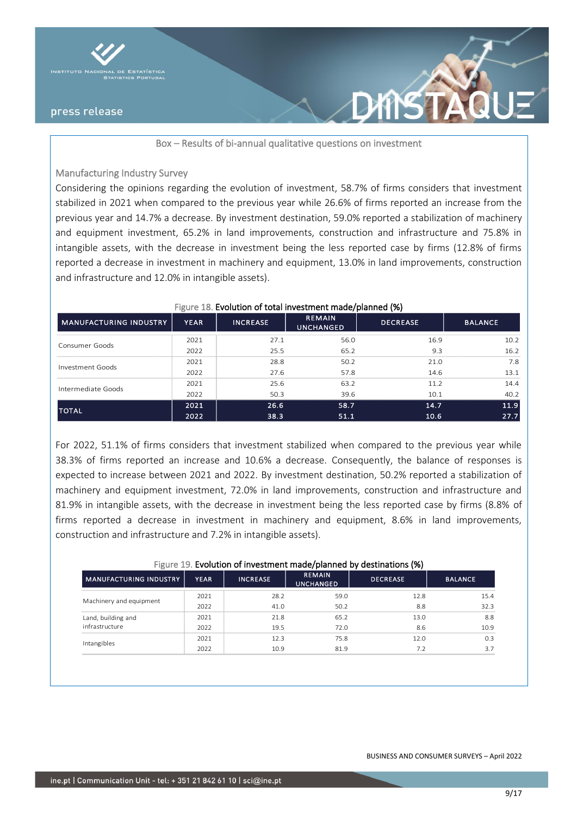

Box – Results of bi-annual qualitative questions on investment

Manufacturing Industry Survey

Considering the opinions regarding the evolution of investment, 58.7% of firms considers that investment stabilized in 2021 when compared to the previous year while 26.6% of firms reported an increase from the previous year and 14.7% a decrease. By investment destination, 59.0% reported a stabilization of machinery and equipment investment, 65.2% in land improvements, construction and infrastructure and 75.8% in intangible assets, with the decrease in investment being the less reported case by firms (12.8% of firms reported a decrease in investment in machinery and equipment, 13.0% in land improvements, construction and infrastructure and 12.0% in intangible assets).

|                        |             |                 |                                   | $\mathbf{r}$    |                |
|------------------------|-------------|-----------------|-----------------------------------|-----------------|----------------|
| MANUFACTURING INDUSTRY | <b>YEAR</b> | <b>INCREASE</b> | <b>REMAIN</b><br><b>UNCHANGED</b> | <b>DECREASE</b> | <b>BALANCE</b> |
| Consumer Goods         | 2021        | 27.1            | 56.0                              | 16.9            | 10.2           |
|                        | 2022        | 25.5            | 65.2                              | 9.3             | 16.2           |
| Investment Goods       | 2021        | 28.8            | 50.2                              | 21.0            | 7.8            |
|                        | 2022        | 27.6            | 57.8                              | 14.6            | 13.1           |
| Intermediate Goods     | 2021        | 25.6            | 63.2                              | 112             | 14.4           |
|                        | 2022        | 50.3            | 39.6                              | 10.1            | 40.2           |
|                        | 2021        | 26.6            | 58.7                              | 14.7            | 11.9           |
| <b>TOTAL</b>           | 2022        | 38.3            | 51.1                              | 10.6            | 27.7           |

## Figure 18. Evolution of total investment made/planned (%)

For 2022, 51.1% of firms considers that investment stabilized when compared to the previous year while 38.3% of firms reported an increase and 10.6% a decrease. Consequently, the balance of responses is expected to increase between 2021 and 2022. By investment destination, 50.2% reported a stabilization of machinery and equipment investment, 72.0% in land improvements, construction and infrastructure and 81.9% in intangible assets, with the decrease in investment being the less reported case by firms (8.8% of firms reported a decrease in investment in machinery and equipment, 8.6% in land improvements, construction and infrastructure and 7.2% in intangible assets).

|                               |             |                 |                                   | Figure 19. Evolution of investment made/planned by destinations (%) |     |
|-------------------------------|-------------|-----------------|-----------------------------------|---------------------------------------------------------------------|-----|
| <b>MANUFACTURING INDUSTRY</b> | <b>YEAR</b> | <b>INCREASE</b> | <b>REMAIN</b><br><b>UNCHANGED</b> | <b>DECREASE</b>                                                     | BAI |
|                               | 2011        | ר הר            | <b>FO 0</b>                       |                                                                     |     |

| Machinery and equipment              | 2021 | 59.0 | 78    | 154  |
|--------------------------------------|------|------|-------|------|
|                                      | 2022 | 50.2 |       |      |
| Land, building and<br>infrastructure | 2021 | 652  | 30    |      |
|                                      | 2022 | 72 O |       | IN 9 |
|                                      | 2021 | 75.8 | -2.11 |      |
| Intangibles                          | 2022 |      |       |      |

**ANCE**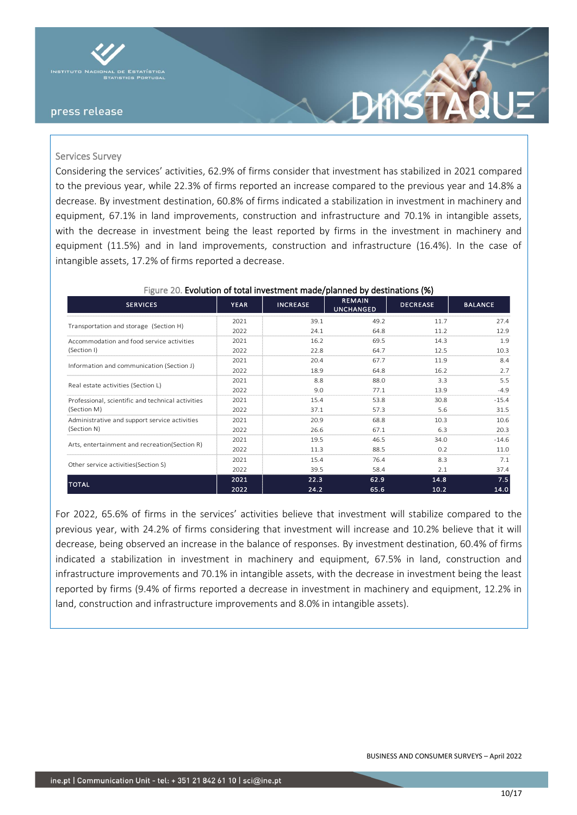

#### Services Survey

Considering the services' activities, 62.9% of firms consider that investment has stabilized in 2021 compared to the previous year, while 22.3% of firms reported an increase compared to the previous year and 14.8% a decrease. By investment destination, 60.8% of firms indicated a stabilization in investment in machinery and equipment, 67.1% in land improvements, construction and infrastructure and 70.1% in intangible assets, with the decrease in investment being the least reported by firms in the investment in machinery and equipment (11.5%) and in land improvements, construction and infrastructure (16.4%). In the case of intangible assets, 17.2% of firms reported a decrease.

| <b>SERVICES</b>                                   | <b>YEAR</b> | <b>INCREASE</b> | <b>REMAIN</b><br><b>UNCHANGED</b> | <b>DECREASE</b> | <b>BALANCE</b> |
|---------------------------------------------------|-------------|-----------------|-----------------------------------|-----------------|----------------|
|                                                   | 2021        | 39.1            | 49.2                              | 11.7            | 27.4           |
| Transportation and storage (Section H)            | 2022        | 24.1            | 64.8                              | 11.2            | 12.9           |
| Accommodation and food service activities         | 2021        | 16.2            | 69.5                              | 14.3            | 1.9            |
| (Section I)                                       | 2022        | 22.8            | 64.7                              | 12.5            | 10.3           |
| Information and communication (Section J)         | 2021        | 20.4            | 67.7                              | 11.9            | 8.4            |
|                                                   | 2022        | 18.9            | 64.8                              | 16.2            | 2.7            |
| Real estate activities (Section L)                | 2021        | 8.8             | 88.0                              | 3.3             | 5.5            |
|                                                   | 2022        | 9.0             | 77.1                              | 13.9            | $-4.9$         |
| Professional, scientific and technical activities | 2021        | 15.4            | 53.8                              | 30.8            | $-15.4$        |
| (Section M)                                       | 2022        | 37.1            | 57.3                              | 5.6             | 31.5           |
| Administrative and support service activities     | 2021        | 20.9            | 68.8                              | 10.3            | 10.6           |
| (Section N)                                       | 2022        | 26.6            | 67.1                              | 6.3             | 20.3           |
| Arts, entertainment and recreation(Section R)     | 2021        | 19.5            | 46.5                              | 34.0            | $-14.6$        |
|                                                   | 2022        | 11.3            | 88.5                              | 0.2             | 11.0           |
| Other service activities (Section S)              | 2021        | 15.4            | 76.4                              | 8.3             | 7.1            |
|                                                   | 2022        | 39.5            | 58.4                              | 2.1             | 37.4           |
| <b>TOTAL</b>                                      | 2021        | 22.3            | 62.9                              | 14.8            | 7.5            |
|                                                   | 2022        | 24.2            | 65.6                              | 10.2            | 14.0           |

#### Figure 20. Evolution of total investment made/planned by destinations (%)

For 2022, 65.6% of firms in the services' activities believe that investment will stabilize compared to the previous year, with 24.2% of firms considering that investment will increase and 10.2% believe that it will decrease, being observed an increase in the balance of responses. By investment destination, 60.4% of firms indicated a stabilization in investment in machinery and equipment, 67.5% in land, construction and infrastructure improvements and 70.1% in intangible assets, with the decrease in investment being the least reported by firms (9.4% of firms reported a decrease in investment in machinery and equipment, 12.2% in land, construction and infrastructure improvements and 8.0% in intangible assets).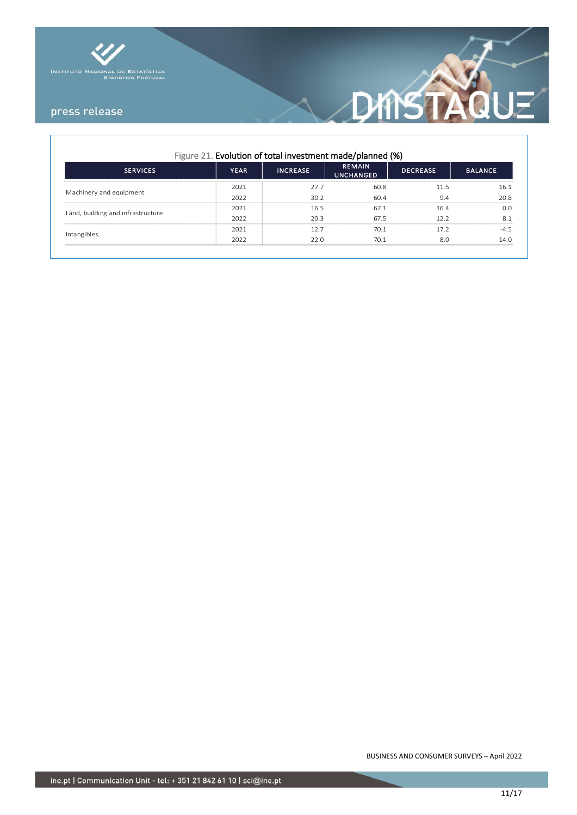



| Figure 21. Evolution of total investment made/planned (%) |             |                 |                                   |                 |                |  |  |  |  |  |  |
|-----------------------------------------------------------|-------------|-----------------|-----------------------------------|-----------------|----------------|--|--|--|--|--|--|
| <b>SERVICES</b>                                           | <b>YEAR</b> | <b>INCREASE</b> | <b>REMAIN</b><br><b>UNCHANGED</b> | <b>DECREASE</b> | <b>BALANCE</b> |  |  |  |  |  |  |
| Machinery and equipment                                   | 2021        | 27.7            | 60.8                              | 11.5            | 16.1           |  |  |  |  |  |  |
|                                                           | 2022        | 30.2            | 60.4                              | 9.4             | 20.8           |  |  |  |  |  |  |
|                                                           | 2021        | 16.5            | 67.1                              | 16.4            | 0.0            |  |  |  |  |  |  |
| Land, building and infrastructure                         | 2022        | 20.3            | 67.5                              | 12.2            | 8.1            |  |  |  |  |  |  |
|                                                           | 2021        | 12.7            | 70.1                              | 17.2            | $-4.5$         |  |  |  |  |  |  |
| Intangibles                                               | 2022        | 22.0            | 70.1                              | 8.0             | 14.0           |  |  |  |  |  |  |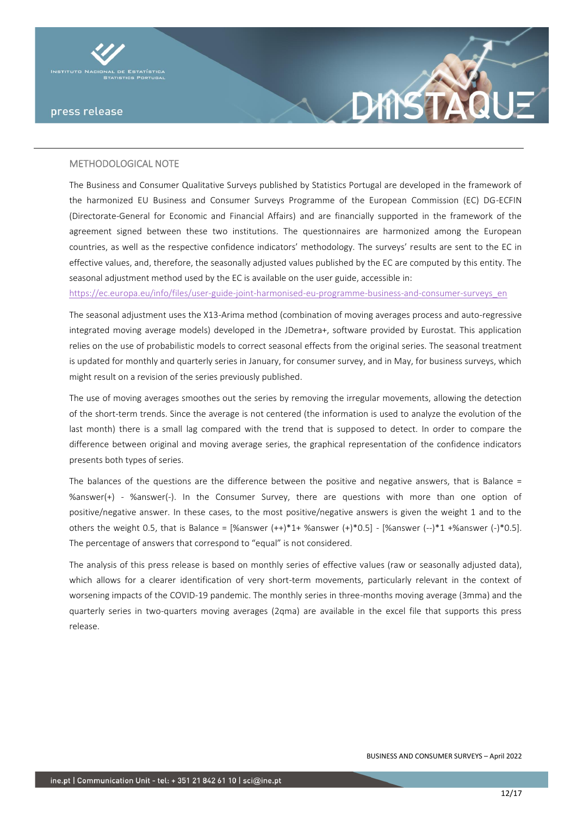



# METHODOLOGICAL NOTE

The Business and Consumer Qualitative Surveys published by Statistics Portugal are developed in the framework of the harmonized EU Business and Consumer Surveys Programme of the European Commission (EC) DG-ECFIN (Directorate-General for Economic and Financial Affairs) and are financially supported in the framework of the agreement signed between these two institutions. The questionnaires are harmonized among the European countries, as well as the respective confidence indicators' methodology. The surveys' results are sent to the EC in effective values, and, therefore, the seasonally adjusted values published by the EC are computed by this entity. The seasonal adjustment method used by the EC is available on the user guide, accessible in:

[https://ec.europa.eu/info/files/user-guide-joint-harmonised-eu-programme-business-and-consumer-surveys\\_en](https://ec.europa.eu/info/files/user-guide-joint-harmonised-eu-programme-business-and-consumer-surveys_en)

The seasonal adjustment uses the X13-Arima method (combination of moving averages process and auto-regressive integrated moving average models) developed in the JDemetra+, software provided by Eurostat. This application relies on the use of probabilistic models to correct seasonal effects from the original series. The seasonal treatment is updated for monthly and quarterly series in January, for consumer survey, and in May, for business surveys, which might result on a revision of the series previously published.

The use of moving averages smoothes out the series by removing the irregular movements, allowing the detection of the short-term trends. Since the average is not centered (the information is used to analyze the evolution of the last month) there is a small lag compared with the trend that is supposed to detect. In order to compare the difference between original and moving average series, the graphical representation of the confidence indicators presents both types of series.

The balances of the questions are the difference between the positive and negative answers, that is Balance = %answer(+) - %answer(-). In the Consumer Survey, there are questions with more than one option of positive/negative answer. In these cases, to the most positive/negative answers is given the weight 1 and to the others the weight 0.5, that is Balance =  $[%$ answer  $(+)*1*$ %answer  $(*)*0.5]$  -  $[%$ answer  $(-)*1*$ %answer  $(-)*0.5]$ . The percentage of answers that correspond to "equal" is not considered.

The analysis of this press release is based on monthly series of effective values (raw or seasonally adjusted data), which allows for a clearer identification of very short-term movements, particularly relevant in the context of worsening impacts of the COVID-19 pandemic. The monthly series in three-months moving average (3mma) and the quarterly series in two-quarters moving averages (2qma) are available in the excel file that supports this press release.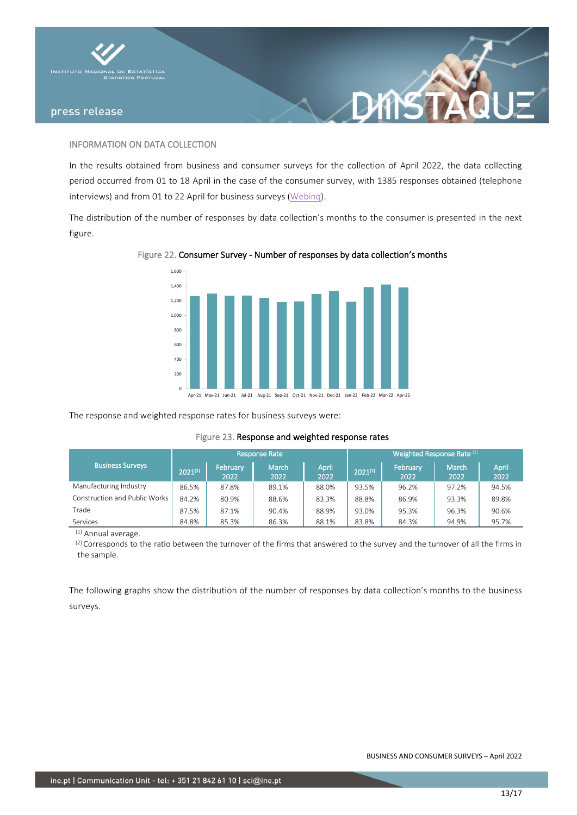



#### INFORMATION ON DATA COLLECTION

In the results obtained from business and consumer surveys for the collection of April 2022, the data collecting period occurred from 01 to 18 April in the case of the consumer survey, with 1385 responses obtained (telephone interviews) and from 01 to 22 April for business surveys [\(Webinq\)](https://webinq.ine.pt/).

XINS

The distribution of the number of responses by data collection's months to the consumer is presented in the next figure.



#### Figure 22. Consumer Survey - Number of responses by data collection's months

Apr-21 May-21 Jun-21 Jul-21 Aug-21 Sep-21 Oct-21 Nov-21 Dec-21 Jan-22 Feb-22 Mar-22 Apr-22

The response and weighted response rates for business surveys were:

|  |  |  | Figure 23. Response and weighted response rates |
|--|--|--|-------------------------------------------------|
|--|--|--|-------------------------------------------------|

|                               | <b>Response Rate</b> |                  |                      |               | Weighted Response Rate (2) |                  |                      |                      |
|-------------------------------|----------------------|------------------|----------------------|---------------|----------------------------|------------------|----------------------|----------------------|
| <b>Business Surveys</b>       | $2021^{(1)}$         | February<br>2022 | <b>March</b><br>2022 | April<br>2022 | $2021^{(1)}$               | February<br>2022 | <b>March</b><br>2022 | <b>April</b><br>2022 |
| Manufacturing Industry        | 86.5%                | 87.8%            | 89.1%                | 88.0%         | 93.5%                      | 96.2%            | 97.2%                | 94.5%                |
| Construction and Public Works | 84.2%                | 80.9%            | 88.6%                | 83.3%         | 88.8%                      | 86.9%            | 93.3%                | 89.8%                |
| Trade                         | 87.5%                | 87.1%            | 90.4%                | 88.9%         | 93.0%                      | 95.3%            | 96.3%                | 90.6%                |
| Services                      | 84.8%                | 85.3%            | 86.3%                | 88.1%         | 83.8%                      | 84.3%            | 94.9%                | 95.7%                |

 $\overline{^{(1)}}$  Annual average.

(2) Corresponds to the ratio between the turnover of the firms that answered to the survey and the turnover of all the firms in the sample.

The following graphs show the distribution of the number of responses by data collection's months to the business surveys.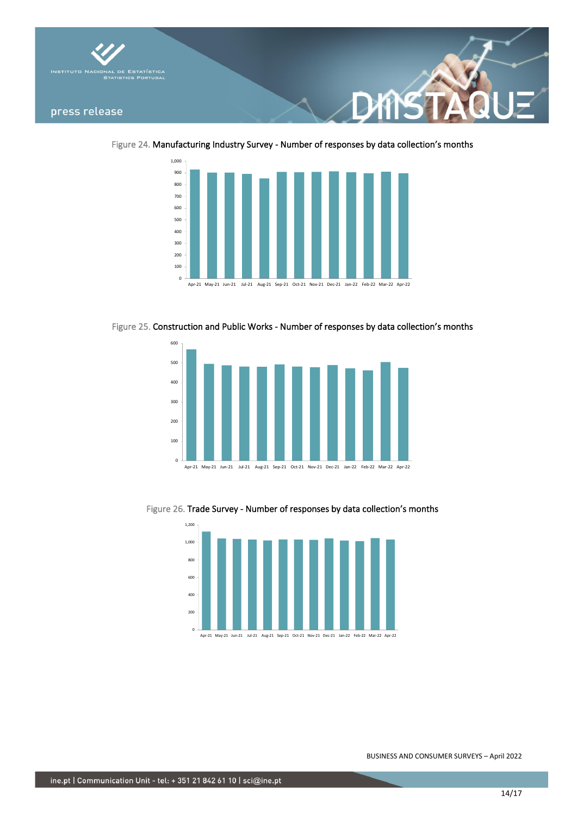

Figure 24. Manufacturing Industry Survey - Number of responses by data collection's months



Figure 25. Construction and Public Works - Number of responses by data collection's months



Figure 26. Trade Survey - Number of responses by data collection's months

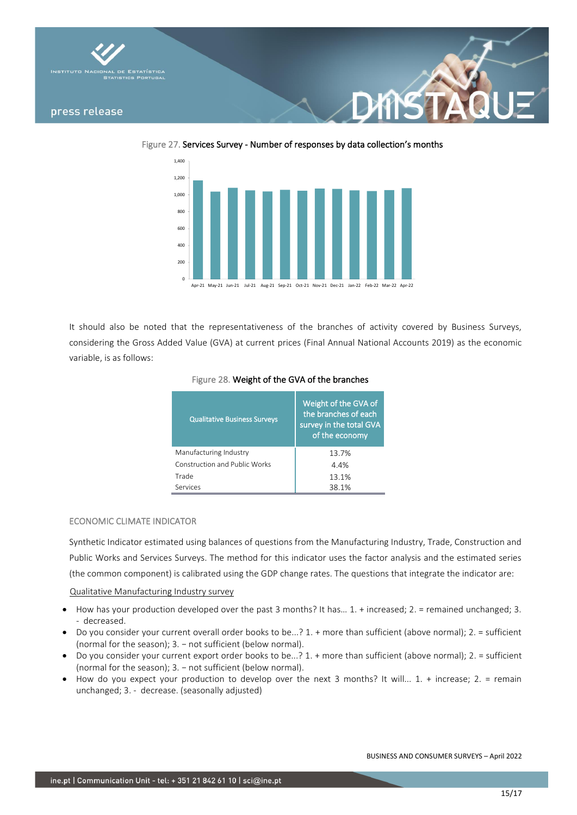





It should also be noted that the representativeness of the branches of activity covered by Business Surveys, considering the Gross Added Value (GVA) at current prices (Final Annual National Accounts 2019) as the economic variable, is as follows:

| <b>Qualitative Business Surveys</b>  | Weight of the GVA of<br>the branches of each<br>survey in the total GVA<br>of the economy |  |  |  |
|--------------------------------------|-------------------------------------------------------------------------------------------|--|--|--|
| Manufacturing Industry               | 13.7%                                                                                     |  |  |  |
| <b>Construction and Public Works</b> | 4.4%                                                                                      |  |  |  |
| Trade                                | 13.1%                                                                                     |  |  |  |
| Services                             | 38.1%                                                                                     |  |  |  |

## Figure 28. Weight of the GVA of the branches

#### ECONOMIC CLIMATE INDICATOR

Synthetic Indicator estimated using balances of questions from the Manufacturing Industry, Trade, Construction and Public Works and Services Surveys. The method for this indicator uses the factor analysis and the estimated series (the common component) is calibrated using the GDP change rates. The questions that integrate the indicator are:

Qualitative Manufacturing Industry survey

- How has your production developed over the past 3 months? It has… 1. + increased; 2. = remained unchanged; 3. - decreased.
- Do you consider your current overall order books to be...? 1. + more than sufficient (above normal); 2. = sufficient (normal for the season); 3. − not sufficient (below normal).
- Do you consider your current export order books to be...? 1. + more than sufficient (above normal); 2. = sufficient (normal for the season); 3. – not sufficient (below normal).
- How do you expect your production to develop over the next 3 months? It will... 1. + increase; 2. = remain unchanged; 3. - decrease. (seasonally adjusted)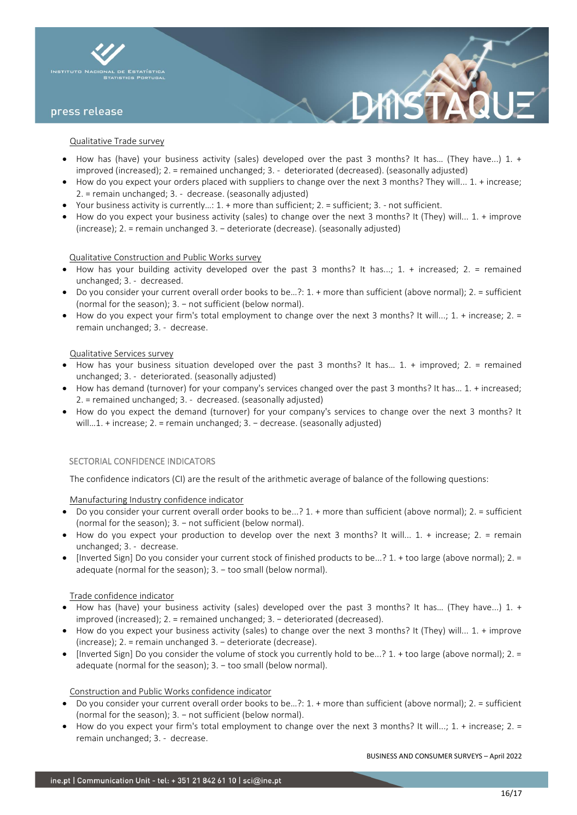

#### Qualitative Trade survey

- How has (have) your business activity (sales) developed over the past 3 months? It has… (They have...) 1. + improved (increased); 2. = remained unchanged; 3. - deteriorated (decreased). (seasonally adjusted)
- How do you expect your orders placed with suppliers to change over the next 3 months? They will... 1. + increase; 2. = remain unchanged; 3. - decrease. (seasonally adjusted)
- Your business activity is currently…: 1. + more than sufficient; 2. = sufficient; 3. not sufficient.
- How do you expect your business activity (sales) to change over the next 3 months? It (They) will... 1. + improve (increase); 2. = remain unchanged 3. − deteriorate (decrease). (seasonally adjusted)

#### Qualitative Construction and Public Works survey

- How has your building activity developed over the past 3 months? It has...; 1. + increased; 2. = remained unchanged; 3. - decreased.
- Do you consider your current overall order books to be…?: 1. + more than sufficient (above normal); 2. = sufficient (normal for the season); 3. − not sufficient (below normal).
- How do you expect your firm's total employment to change over the next 3 months? It will...; 1. + increase; 2. = remain unchanged; 3. - decrease.

#### Qualitative Services survey

- How has your business situation developed over the past 3 months? It has… 1. + improved; 2. = remained unchanged; 3. - deteriorated. (seasonally adjusted)
- How has demand (turnover) for your company's services changed over the past 3 months? It has… 1. + increased; 2. = remained unchanged; 3. - decreased. (seasonally adjusted)
- How do you expect the demand (turnover) for your company's services to change over the next 3 months? It will…1. + increase; 2. = remain unchanged; 3. − decrease. (seasonally adjusted)

#### SECTORIAL CONFIDENCE INDICATORS

The confidence indicators (CI) are the result of the arithmetic average of balance of the following questions:

Manufacturing Industry confidence indicator

- Do you consider your current overall order books to be...? 1. + more than sufficient (above normal); 2. = sufficient (normal for the season); 3. – not sufficient (below normal).
- How do you expect your production to develop over the next 3 months? It will... 1. + increase; 2. = remain unchanged; 3. - decrease.
- [Inverted Sign] Do you consider your current stock of finished products to be...? 1. + too large (above normal); 2. = adequate (normal for the season); 3. - too small (below normal).

#### Trade confidence indicator

- How has (have) your business activity (sales) developed over the past 3 months? It has… (They have...) 1. + improved (increased); 2. = remained unchanged; 3. − deteriorated (decreased).
- How do you expect your business activity (sales) to change over the next 3 months? It (They) will... 1. + improve (increase); 2. = remain unchanged 3. − deteriorate (decrease).
- [Inverted Sign] Do you consider the volume of stock you currently hold to be...? 1. + too large (above normal); 2. = adequate (normal for the season); 3. – too small (below normal).

#### Construction and Public Works confidence indicator

- Do you consider your current overall order books to be…?: 1. + more than sufficient (above normal); 2. = sufficient (normal for the season); 3. – not sufficient (below normal).
- How do you expect your firm's total employment to change over the next 3 months? It will...; 1. + increase; 2. = remain unchanged; 3. - decrease.